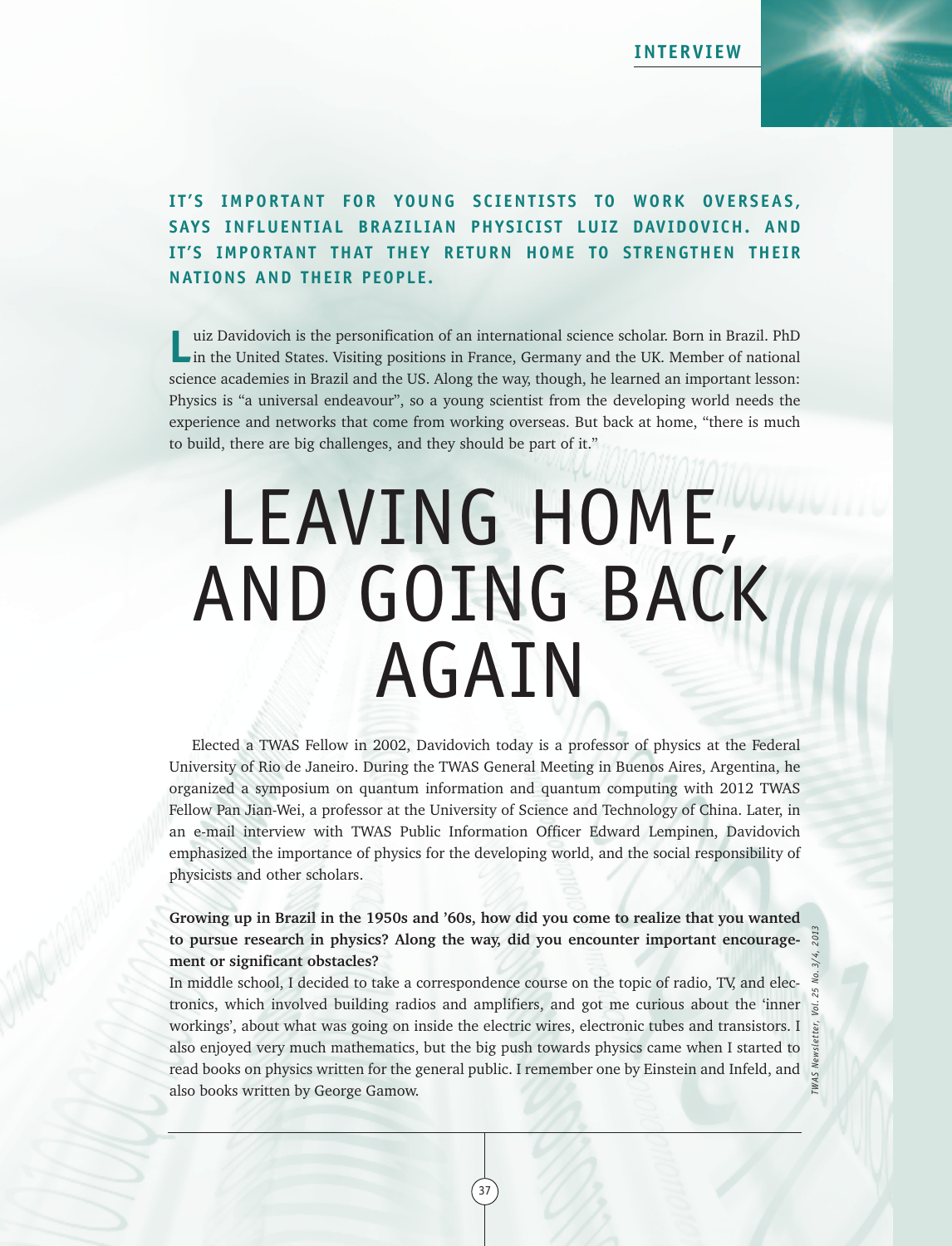

## **I T ' S IMPORTANT FOR YOUNG S C I ENT I S T S TO WORK OVERS EAS , SAYS INFLUENTIAL BRAZILIAN PHYSICIST LUIZ DAVIDOVICH. AND IT 'S IMPORTANT THAT THEY RETURN HOME TO STRENGTHEN THEIR NAT IONS AND THEIR PEOPLE.**

**L**uiz Davidovich is the personification of an international science scholar. Born in Brazil. PhD in the United States. Visiting positions in France, Germany and the UK. Member of national science academies in Brazil and the US. Along the way, though, he learned an important lesson: Physics is "a universal endeavour", so a young scientist from the developing world needs the experience and networks that come from working overseas. But back at home, "there is much to build, there are big challenges, and they should be part of it."

# LEAVING HOME, AND GOING BACK AGAIN

Elected a TWAS Fellow in 2002, Davidovich today is a professor of physics at the Federal University of Rio de Janeiro. During the TWAS General Meeting in Buenos Aires, Argentina, he organized a symposium on quantum information and quantum computing with 2012 TWAS Fellow Pan Jian-Wei, a professor at the University of Science and Technology of China. Later, in an e-mail interview with TWAS Public Information Officer Edward Lempinen, Davidovich emphasized the importance of physics for the developing world, and the social responsibility of physicists and other scholars.

**Growing up in Brazil in the 1950s and '60s, how did you come to realize that you wanted to pursue research in physics? Along the way, did you encounter important encouragement or significant obstacles?**

In middle school, I decided to take a correspondence course on the topic of radio, TV, and electronics, which involved building radios and amplifiers, and got me curious about the 'inner workings', about what was going on inside the electric wires, electronic tubes and transistors. I also enjoyed very much mathematics, but the big push towards physics came when I started to read books on physics written for the general public. I remember one by Einstein and Infeld, and  $\frac{3}{6}$ also books written by George Gamow.

37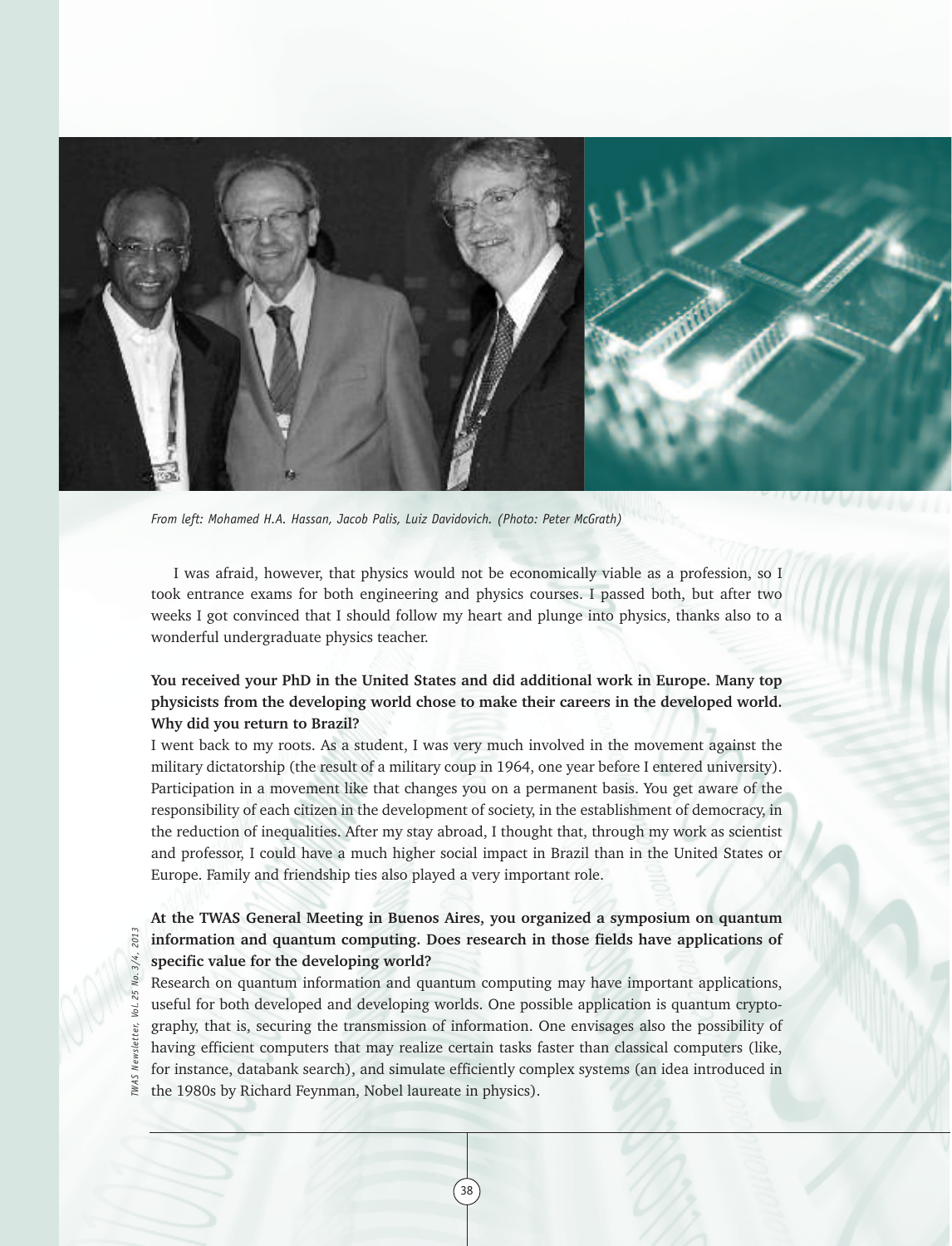

*From left: Mohamed H.A. Hassan, Jacob Palis, Luiz Davidovich. (Photo: Peter McGrath)*

I was afraid, however, that physics would not be economically viable as a profession, so I took entrance exams for both engineering and physics courses. I passed both, but after two weeks I got convinced that I should follow my heart and plunge into physics, thanks also to a wonderful undergraduate physics teacher.

### **You received your PhD in the United States and did additional work in Europe. Many top physicists from the developing world chose to make their careers in the developed world. Why did you return to Brazil?**

I went back to my roots. As a student, I was very much involved in the movement against the military dictatorship (the result of a military coup in 1964, one year before I entered university). Participation in a movement like that changes you on a permanent basis. You get aware of the responsibility of each citizen in the development of society, in the establishment of democracy, in the reduction of inequalities. After my stay abroad, I thought that, through my work as scientist and professor, I could have a much higher social impact in Brazil than in the United States or Europe. Family and friendship ties also played a very important role.

#### **At the TWAS General Meeting in Buenos Aires, you organized a symposium on quantum information and quantum computing. Does research in those fields have applications of specific value for the developing world?**

Research on quantum information and quantum computing may have important applications, useful for both developed and developing worlds. One possible application is quantum cryptography, that is, securing the transmission of information. One envisages also the possibility of having efficient computers that may realize certain tasks faster than classical computers (like, for instance, databank search), and simulate efficiently complex systems (an idea introduced in the 1980s by Richard Feynman, Nobel laureate in physics).

38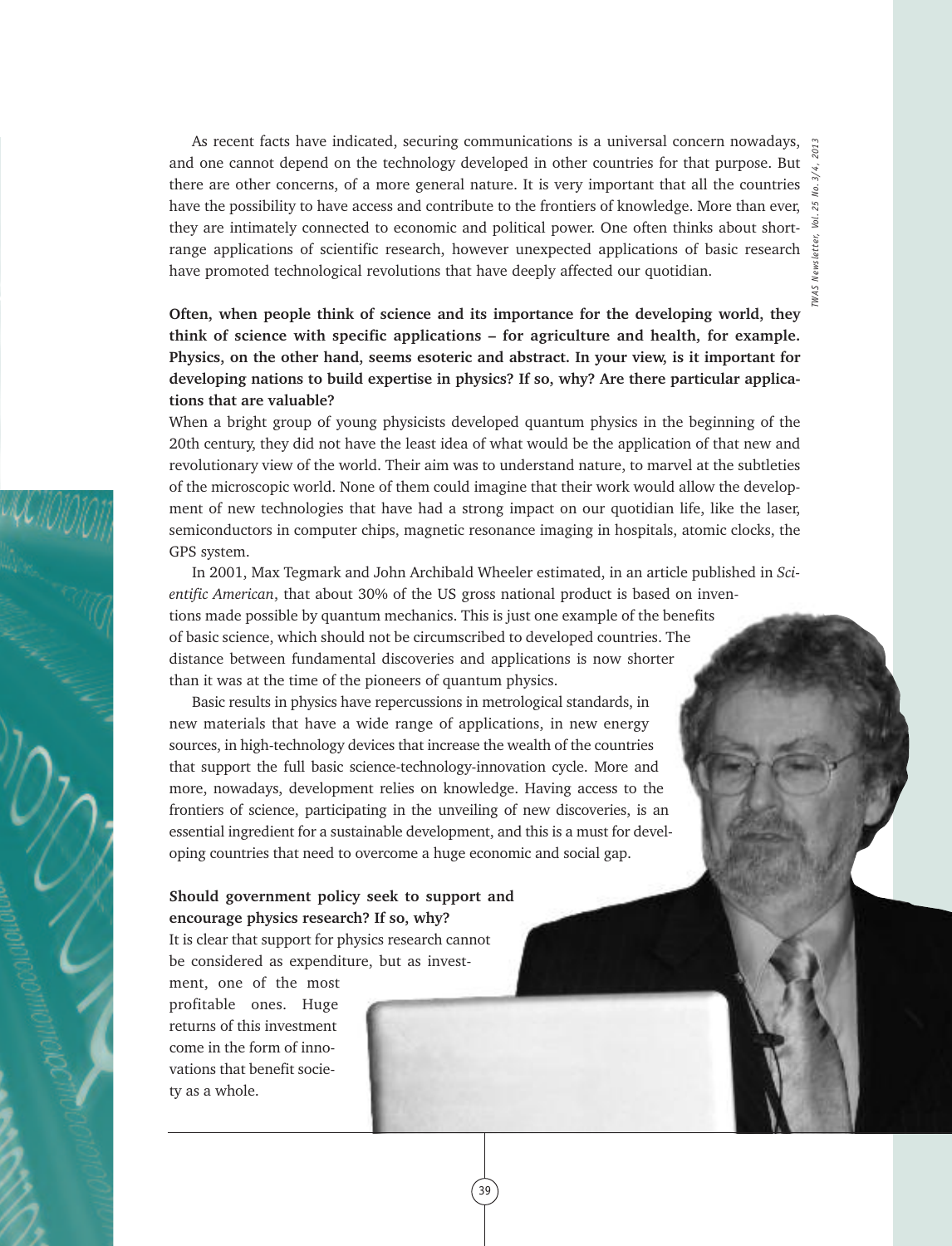*TWAS Newsletter, Vol. 25 No. 3/4, 2013*

As recent facts have indicated, securing communications is a universal concern nowadays, and one cannot depend on the technology developed in other countries for that purpose. But there are other concerns, of a more general nature. It is very important that all the countries  $\frac{1}{3}$ have the possibility to have access and contribute to the frontiers of knowledge. More than ever,  $\mathbb{R}$ they are intimately connected to economic and political power. One often thinks about shortrange applications of scientific research, however unexpected applications of basic research  $\frac{3}{5}$ have promoted technological revolutions that have deeply affected our quotidian.

**Often, when people think of science and its importance for the developing world, they think of science with specific applications – for agriculture and health, for example. Physics, on the other hand, seems esoteric and abstract. In your view, is it important for developing nations to build expertise in physics? If so, why? Are there particular applications that are valuable?**

When a bright group of young physicists developed quantum physics in the beginning of the 20th century, they did not have the least idea of what would be the application of that new and revolutionary view of the world. Their aim was to understand nature, to marvel at the subtleties of the microscopic world. None of them could imagine that their work would allow the development of new technologies that have had a strong impact on our quotidian life, like the laser, semiconductors in computer chips, magnetic resonance imaging in hospitals, atomic clocks, the GPS system.

In 2001, Max Tegmark and John Archibald Wheeler estimated, in an article published in *Scientific American*, that about 30% of the US gross national product is based on inventions made possible by quantum mechanics. This is just one example of the benefits of basic science, which should not be circumscribed to developed countries. The distance between fundamental discoveries and applications is now shorter than it was at the time of the pioneers of quantum physics.

39

Basic results in physics have repercussions in metrological standards, in new materials that have a wide range of applications, in new energy sources, in high-technology devices that increase the wealth of the countries that support the full basic science-technology-innovation cycle. More and more, nowadays, development relies on knowledge. Having access to the frontiers of science, participating in the unveiling of new discoveries, is an essential ingredient for a sustainable development, and this is a must for developing countries that need to overcome a huge economic and social gap.

**Should government policy seek to support and encourage physics research? If so, why?** It is clear that support for physics research cannot be considered as expenditure, but as invest-

ment, one of the most profitable ones. Huge returns of this investment come in the form of innovations that benefit society as a whole.